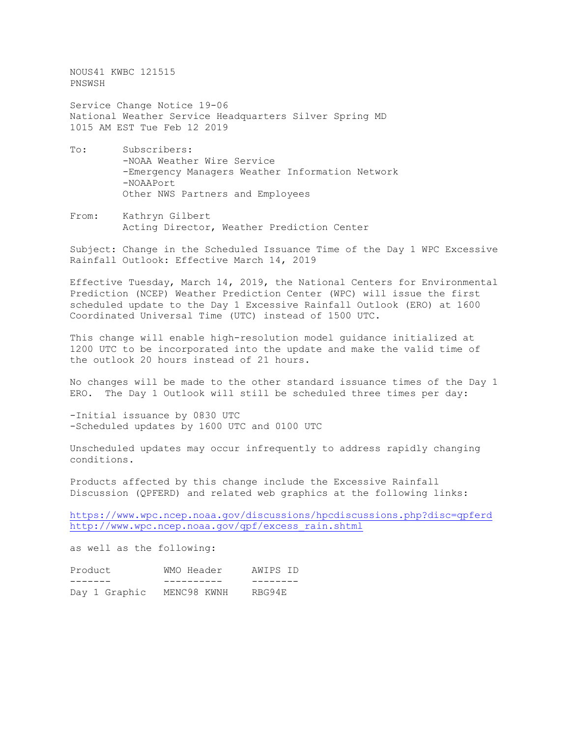NOUS41 KWBC 121515 PNSWSH

Service Change Notice 19-06 National Weather Service Headquarters Silver Spring MD 1015 AM EST Tue Feb 12 2019

- To: Subscribers: -NOAA Weather Wire Service -Emergency Managers Weather Information Network -NOAAPort Other NWS Partners and Employees
- From: Kathryn Gilbert Acting Director, Weather Prediction Center

Subject: Change in the Scheduled Issuance Time of the Day 1 WPC Excessive Rainfall Outlook: Effective March 14, 2019

Effective Tuesday, March 14, 2019, the National Centers for Environmental Prediction (NCEP) Weather Prediction Center (WPC) will issue the first scheduled update to the Day 1 Excessive Rainfall Outlook (ERO) at 1600 Coordinated Universal Time (UTC) instead of 1500 UTC.

This change will enable high-resolution model guidance initialized at 1200 UTC to be incorporated into the update and make the valid time of the outlook 20 hours instead of 21 hours.

No changes will be made to the other standard issuance times of the Day 1 ERO. The Day 1 Outlook will still be scheduled three times per day:

-Initial issuance by 0830 UTC -Scheduled updates by 1600 UTC and 0100 UTC

Unscheduled updates may occur infrequently to address rapidly changing conditions.

Products affected by this change include the Excessive Rainfall Discussion (QPFERD) and related web graphics at the following links:

<https://www.wpc.ncep.noaa.gov/discussions/hpcdiscussions.php?disc=qpferd> [http://www.wpc.ncep.noaa.gov/qpf/excess\\_rain.shtml](http://www.wpc.ncep.noaa.gov/qpf/excess_rain.shtml)

as well as the following:

| Product |               | WMO Header  |  | AWIPS ID |  |
|---------|---------------|-------------|--|----------|--|
|         |               |             |  |          |  |
|         | Day 1 Graphic | MENC98 KWNH |  | RBG94E   |  |